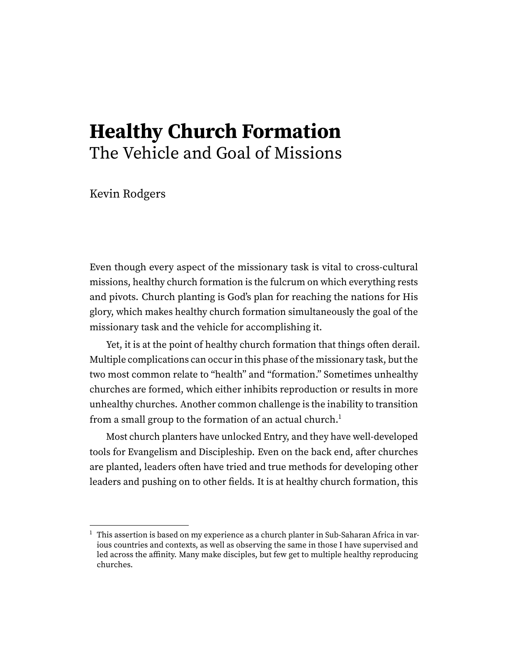# **Healthy Church Formation** The Vehicle and Goal of Missions

Kevin Rodgers

Even though every aspect of the missionary task is vital to cross-cultural missions, healthy church formation is the fulcrum on which everything rests and pivots. Church planting is God's plan for reaching the nations for His glory, which makes healthy church formation simultaneously the goal of the missionary task and the vehicle for accomplishing it.

Yet, it is at the point of healthy church formation that things often derail. Multiple complications can occur in this phase of the missionary task, but the two most common relate to "health" and "formation." Sometimes unhealthy churches are formed, which either inhibits reproduction or results in more unhealthy churches. Another common challenge is the inability to transition from a small group to the formation of an actual church.<sup>[1](#page-0-0)</sup>

<span id="page-0-1"></span>Most church planters have unlocked Entry, and they have well-developed tools for Evangelism and Discipleship. Even on the back end, after churches are planted, leaders often have tried and true methods for developing other leaders and pushing on to other fields. It is at healthy church formation, this

<span id="page-0-0"></span> $1$  This assertion is based on my experience as a church planter in Sub-Saharan Africa in various countries and contexts, as well as observing the same in those I have supervised and led across the affinity. Many make disciples, but few get to multiple healthy reproducing churches.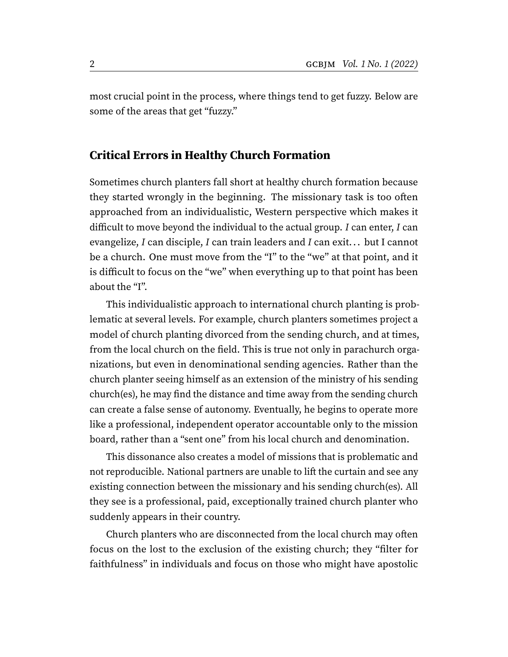most crucial point in the process, where things tend to get fuzzy. Below are some of the areas that get "fuzzy."

## **Critical Errors in Healthy Church Formation**

Sometimes church planters fall short at healthy church formation because they started wrongly in the beginning. The missionary task is too often approached from an individualistic, Western perspective which makes it difficult to move beyond the individual to the actual group. I can enter, I can evangelize, I can disciple, I can train leaders and I can exit... but I cannot be a church. One must move from the "I" to the "we" at that point, and it is difficult to focus on the "we" when everything up to that point has been about the "I".

This individualistic approach to international church planting is problematic at several levels. For example, church planters sometimes project a model of church planting divorced from the sending church, and at times, from the local church on the field. This is true not only in parachurch organizations, but even in denominational sending agencies. Rather than the church planter seeing himself as an extension of the ministry of his sending church(es), he may find the distance and time away from the sending church can create a false sense of autonomy. Eventually, he begins to operate more like a professional, independent operator accountable only to the mission board, rather than a "sent one" from his local church and denomination.

This dissonance also creates a model of missions that is problematic and not reproducible. National partners are unable to lift the curtain and see any existing connection between the missionary and his sending church(es). All they see is a professional, paid, exceptionally trained church planter who suddenly appears in their country.

Church planters who are disconnected from the local church may often focus on the lost to the exclusion of the existing church; they "filter for faithfulness" in individuals and focus on those who might have apostolic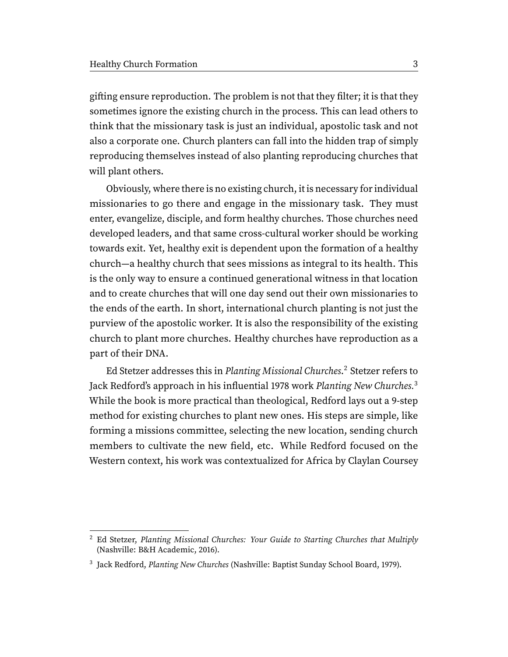gifting ensure reproduction. The problem is not that they filter; it is that they sometimes ignore the existing church in the process. This can lead others to think that the missionary task is just an individual, apostolic task and not also a corporate one. Church planters can fall into the hidden trap of simply reproducing themselves instead of also planting reproducing churches that will plant others.

Obviously, where there is no existing church, it is necessary for individual missionaries to go there and engage in the missionary task. They must enter, evangelize, disciple, and form healthy churches. Those churches need developed leaders, and that same cross-cultural worker should be working towards exit. Yet, healthy exit is dependent upon the formation of a healthy church—a healthy church that sees missions as integral to its health. This is the only way to ensure a continued generational witness in that location and to create churches that will one day send out their own missionaries to the ends of the earth. In short, international church planting is not just the purview of the apostolic worker. It is also the responsibility of the existing church to plant more churches. Healthy churches have reproduction as a part of their DNA.

<span id="page-2-3"></span><span id="page-2-2"></span>Ed Stetzer addresses this in Planting Missional Churches.<sup>[2](#page-2-0)</sup> Stetzer refers to Jack Redford's approach in his influential 1978 work Planting New Churches.<sup>[3](#page-2-1)</sup> While the book is more practical than theological, Redford lays out a 9-step method for existing churches to plant new ones. His steps are simple, like forming a missions committee, selecting the new location, sending church members to cultivate the new field, etc. While Redford focused on the Western context, his work was contextualized for Africa by Claylan Coursey

<span id="page-2-0"></span><sup>&</sup>lt;sup>[2](#page-2-2)</sup> Ed Stetzer, Planting Missional Churches: Your Guide to Starting Churches that Multiply (Nashville: B&H Academic, 2016).

<span id="page-2-1"></span><sup>&</sup>lt;sup>[3](#page-2-3)</sup> Jack Redford, Planting New Churches (Nashville: Baptist Sunday School Board, 1979).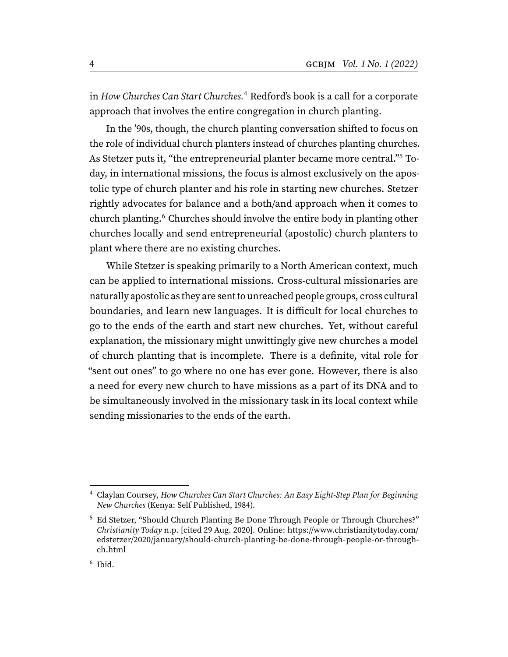<span id="page-3-3"></span>in How Churches Can Start Churches.<sup>[4](#page-3-0)</sup> Redford's book is a call for a corporate approach that involves the entire congregation in church planting.

<span id="page-3-4"></span>In the '90s, though, the church planting conversation shifted to focus on the role of individual church planters instead of churches planting churches. As Stetzer puts it, "the entrepreneurial planter became more central."[5](#page-3-1) Today, in international missions, the focus is almost exclusively on the apostolic type of church planter and his role in starting new churches. Stetzer rightly advocates for balance and a both/and approach when it comes to church planting.<sup>[6](#page-3-2)</sup> Churches should involve the entire body in planting other churches locally and send entrepreneurial (apostolic) church planters to plant where there are no existing churches.

<span id="page-3-5"></span>While Stetzer is speaking primarily to a North American context, much can be applied to international missions. Cross-cultural missionaries are naturally apostolic as they are sent to unreached people groups, cross cultural boundaries, and learn new languages. It is difficult for local churches to go to the ends of the earth and start new churches. Yet, without careful explanation, the missionary might unwittingly give new churches a model of church planting that is incomplete. There is a definite, vital role for "sent out ones" to go where no one has ever gone. However, there is also a need for every new church to have missions as a part of its DNA and to be simultaneously involved in the missionary task in its local context while sending missionaries to the ends of the earth.

<span id="page-3-0"></span>[<sup>4</sup>](#page-3-3) Claylan Coursey, How Churches Can Start Churches: An Easy Eight-Step Plan for Beginning New Churches (Kenya: Self Published, 1984).

<span id="page-3-1"></span><sup>&</sup>lt;sup>[5](#page-3-4)</sup> Ed Stetzer, "Should Church Planting Be Done Through People or Through Churches?" Christianity Today n.p. [cited 29 Aug. 2020]. Online: [https://www.christianitytoday.com/](https://www.christianitytoday.com/edstetzer/2020/january/should-church-planting-be-done-through-people-or-through-ch.html) [edstetzer/2020/january/should-church-planting-be-done-through-people-or-through](https://www.christianitytoday.com/edstetzer/2020/january/should-church-planting-be-done-through-people-or-through-ch.html)[ch.html](https://www.christianitytoday.com/edstetzer/2020/january/should-church-planting-be-done-through-people-or-through-ch.html)

<span id="page-3-2"></span>[<sup>6</sup>](#page-3-5) Ibid.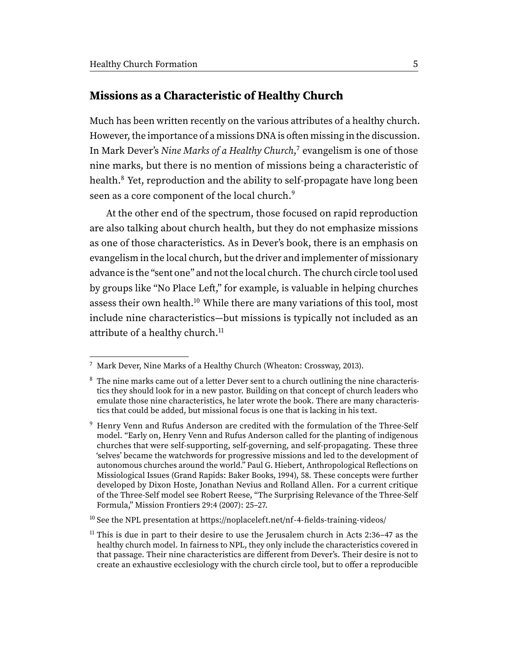### **Missions as a Characteristic of Healthy Church**

<span id="page-4-5"></span>Much has been written recently on the various attributes of a healthy church. However, the importance of a missions DNA is often missing in the discussion. In Mark Dever's Nine Marks of a Healthy Church,<sup>[7](#page-4-0)</sup> evangelism is one of those nine marks, but there is no mention of missions being a characteristic of health.<sup>[8](#page-4-1)</sup> Yet, reproduction and the ability to self-propagate have long been seen as a core component of the local church.<sup>[9](#page-4-2)</sup>

<span id="page-4-7"></span><span id="page-4-6"></span>At the other end of the spectrum, those focused on rapid reproduction are also talking about church health, but they do not emphasize missions as one of those characteristics. As in Dever's book, there is an emphasis on evangelism in the local church, but the driver and implementer of missionary advance is the "sent one" and not the local church. The church circle tool used by groups like "No Place Left," for example, is valuable in helping churches assess their own health.<sup>[10](#page-4-3)</sup> While there are many variations of this tool, most include nine characteristics—but missions is typically not included as an attribute of a healthy church.<sup>[11](#page-4-4)</sup>

<span id="page-4-9"></span><span id="page-4-8"></span><span id="page-4-0"></span>Mark Dever, Nine Marks of a Healthy Church (Wheaton: Crossway, 2013).

<span id="page-4-1"></span> $8\text{ The nine marks came out of a letter Dever sent to a church outlining the nine characteris 8\text{ The nine marks came out of a letter Dever sent to a church outlining the nine characteris$ tics they should look for in a new pastor. Building on that concept of church leaders who emulate those nine characteristics, he later wrote the book. There are many characteristics that could be added, but missional focus is one that is lacking in his text.

<span id="page-4-2"></span>[<sup>9</sup>](#page-4-7) Henry Venn and Rufus Anderson are credited with the formulation of the Three-Self model. "Early on, Henry Venn and Rufus Anderson called for the planting of indigenous churches that were self-supporting, self-governing, and self-propagating. These three 'selves' became the watchwords for progressive missions and led to the development of autonomous churches around the world." Paul G. Hiebert, Anthropological Reflections on Missiological Issues (Grand Rapids: Baker Books, 1994), 58. These concepts were further developed by Dixon Hoste, Jonathan Nevius and Rolland Allen. For a current critique of the Three-Self model see Robert Reese, "The Surprising Relevance of the Three-Self Formula," Mission Frontiers 29:4 (2007): 25–27.

<span id="page-4-3"></span><sup>&</sup>lt;sup>[10](#page-4-8)</sup> See the NPL presentation at<https://noplaceleft.net/nf-4-fields-training-videos/>

<span id="page-4-4"></span> $11$  This is due in part to their desire to use the Jerusalem church in Acts 2:36–47 as the healthy church model. In fairness to NPL, they only include the characteristics covered in that passage. Their nine characteristics are different from Dever's. Their desire is not to create an exhaustive ecclesiology with the church circle tool, but to offer a reproducible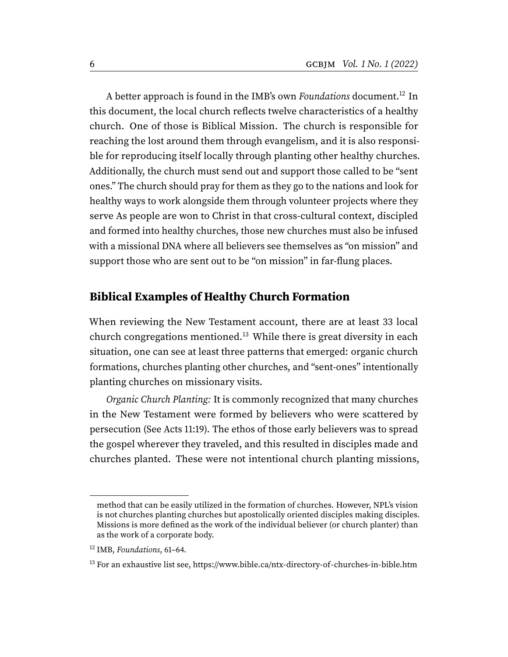<span id="page-5-2"></span>A better approach is found in the IMB's own Foundations document.<sup>[12](#page-5-0)</sup> In this document, the local church reflects twelve characteristics of a healthy church. One of those is Biblical Mission. The church is responsible for reaching the lost around them through evangelism, and it is also responsible for reproducing itself locally through planting other healthy churches. Additionally, the church must send out and support those called to be "sent ones." The church should pray for them as they go to the nations and look for healthy ways to work alongside them through volunteer projects where they serve As people are won to Christ in that cross-cultural context, discipled and formed into healthy churches, those new churches must also be infused with a missional DNA where all believers see themselves as "on mission" and support those who are sent out to be "on mission" in far-flung places.

#### **Biblical Examples of Healthy Church Formation**

<span id="page-5-3"></span>When reviewing the New Testament account, there are at least 33 local church congregations mentioned.<sup>[13](#page-5-1)</sup> While there is great diversity in each situation, one can see at least three patterns that emerged: organic church formations, churches planting other churches, and "sent-ones" intentionally planting churches on missionary visits.

Organic Church Planting: It is commonly recognized that many churches in the New Testament were formed by believers who were scattered by persecution (See Acts 11:19). The ethos of those early believers was to spread the gospel wherever they traveled, and this resulted in disciples made and churches planted. These were not intentional church planting missions,

method that can be easily utilized in the formation of churches. However, NPL's vision is not churches planting churches but apostolically oriented disciples making disciples. Missions is more defined as the work of the individual believer (or church planter) than as the work of a corporate body.

<span id="page-5-0"></span><sup>&</sup>lt;sup>[12](#page-5-2)</sup> IMB, Foundations, 61-64.

<span id="page-5-1"></span> $13$  For an exhaustive list see,<https://www.bible.ca/ntx-directory-of-churches-in-bible.htm>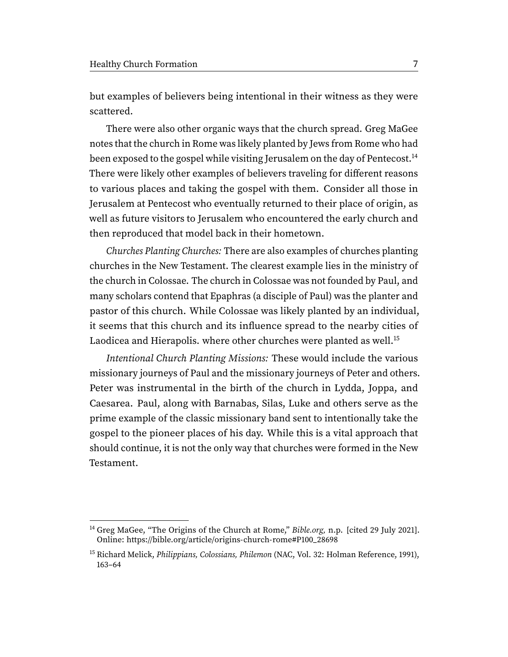but examples of believers being intentional in their witness as they were scattered.

<span id="page-6-2"></span>There were also other organic ways that the church spread. Greg MaGee notes that the church in Rome was likely planted by Jews from Rome who had been exposed to the gospel while visiting Jerusalem on the day of Pentecost.<sup>[14](#page-6-0)</sup> There were likely other examples of believers traveling for different reasons to various places and taking the gospel with them. Consider all those in Jerusalem at Pentecost who eventually returned to their place of origin, as well as future visitors to Jerusalem who encountered the early church and then reproduced that model back in their hometown.

Churches Planting Churches: There are also examples of churches planting churches in the New Testament. The clearest example lies in the ministry of the church in Colossae. The church in Colossae was not founded by Paul, and many scholars contend that Epaphras (a disciple of Paul) was the planter and pastor of this church. While Colossae was likely planted by an individual, it seems that this church and its influence spread to the nearby cities of Laodicea and Hierapolis. where other churches were planted as well.<sup>[15](#page-6-1)</sup>

<span id="page-6-3"></span>Intentional Church Planting Missions: These would include the various missionary journeys of Paul and the missionary journeys of Peter and others. Peter was instrumental in the birth of the church in Lydda, Joppa, and Caesarea. Paul, along with Barnabas, Silas, Luke and others serve as the prime example of the classic missionary band sent to intentionally take the gospel to the pioneer places of his day. While this is a vital approach that should continue, it is not the only way that churches were formed in the New Testament.

<span id="page-6-0"></span><sup>&</sup>lt;sup>[14](#page-6-2)</sup> Greg MaGee, "The Origins of the Church at Rome," Bible.org, n.p. [cited 29 July 2021]. Online: [https://bible.org/article/origins-church-rome#P100\\_28698](https://bible.org/article/origins-church-rome#P100_28698)

<span id="page-6-1"></span><sup>&</sup>lt;sup>[15](#page-6-3)</sup> Richard Melick, *Philippians, Colossians, Philemon* (NAC, Vol. 32: Holman Reference, 1991), 163–64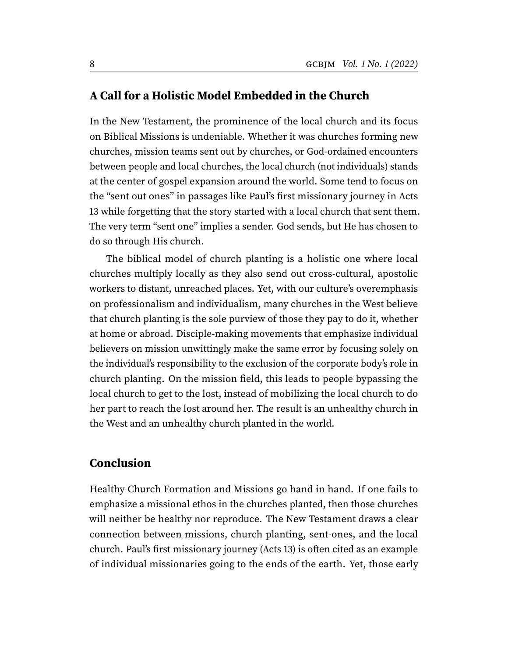#### **A Call for a Holistic Model Embedded in the Church**

In the New Testament, the prominence of the local church and its focus on Biblical Missions is undeniable. Whether it was churches forming new churches, mission teams sent out by churches, or God-ordained encounters between people and local churches, the local church (not individuals) stands at the center of gospel expansion around the world. Some tend to focus on the "sent out ones" in passages like Paul's first missionary journey in Acts 13 while forgetting that the story started with a local church that sent them. The very term "sent one" implies a sender. God sends, but He has chosen to do so through His church.

The biblical model of church planting is a holistic one where local churches multiply locally as they also send out cross-cultural, apostolic workers to distant, unreached places. Yet, with our culture's overemphasis on professionalism and individualism, many churches in the West believe that church planting is the sole purview of those they pay to do it, whether at home or abroad. Disciple-making movements that emphasize individual believers on mission unwittingly make the same error by focusing solely on the individual's responsibility to the exclusion of the corporate body's role in church planting. On the mission field, this leads to people bypassing the local church to get to the lost, instead of mobilizing the local church to do her part to reach the lost around her. The result is an unhealthy church in the West and an unhealthy church planted in the world.

#### **Conclusion**

Healthy Church Formation and Missions go hand in hand. If one fails to emphasize a missional ethos in the churches planted, then those churches will neither be healthy nor reproduce. The New Testament draws a clear connection between missions, church planting, sent-ones, and the local church. Paul's first missionary journey (Acts 13) is often cited as an example of individual missionaries going to the ends of the earth. Yet, those early